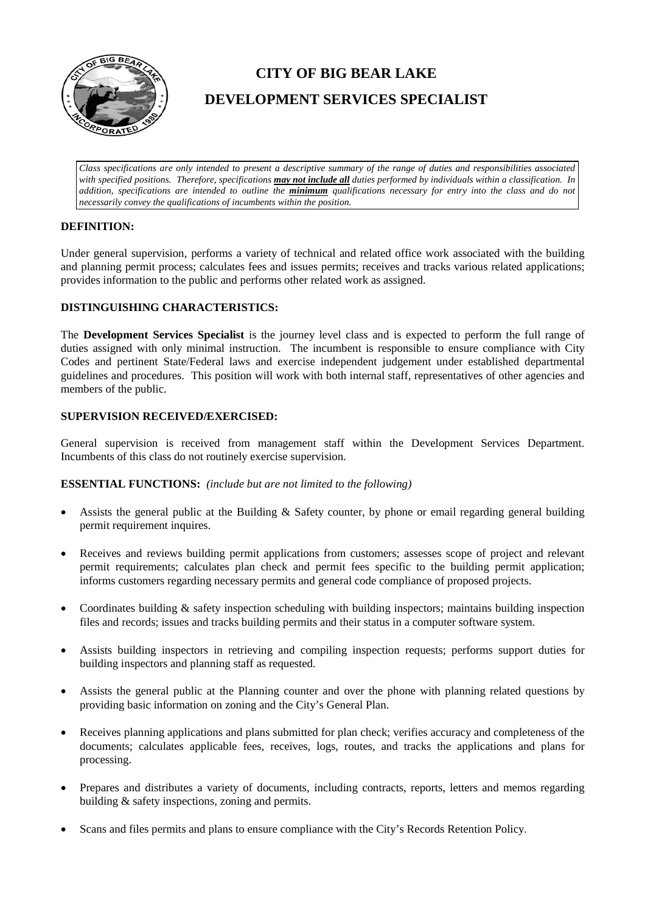

# **CITY OF BIG BEAR LAKE DEVELOPMENT SERVICES SPECIALIST**

*Class specifications are only intended to present a descriptive summary of the range of duties and responsibilities associated with specified positions. Therefore, specifications may not include all duties performed by individuals within a classification. In addition, specifications are intended to outline the minimum qualifications necessary for entry into the class and do not necessarily convey the qualifications of incumbents within the position.*

## **DEFINITION:**

Under general supervision, performs a variety of technical and related office work associated with the building and planning permit process; calculates fees and issues permits; receives and tracks various related applications; provides information to the public and performs other related work as assigned.

## **DISTINGUISHING CHARACTERISTICS:**

The **Development Services Specialist** is the journey level class and is expected to perform the full range of duties assigned with only minimal instruction. The incumbent is responsible to ensure compliance with City Codes and pertinent State/Federal laws and exercise independent judgement under established departmental guidelines and procedures. This position will work with both internal staff, representatives of other agencies and members of the public.

## **SUPERVISION RECEIVED/EXERCISED:**

General supervision is received from management staff within the Development Services Department. Incumbents of this class do not routinely exercise supervision.

### **ESSENTIAL FUNCTIONS:** *(include but are not limited to the following)*

- Assists the general public at the Building & Safety counter, by phone or email regarding general building permit requirement inquires.
- Receives and reviews building permit applications from customers; assesses scope of project and relevant permit requirements; calculates plan check and permit fees specific to the building permit application; informs customers regarding necessary permits and general code compliance of proposed projects.
- Coordinates building & safety inspection scheduling with building inspectors; maintains building inspection files and records; issues and tracks building permits and their status in a computer software system.
- Assists building inspectors in retrieving and compiling inspection requests; performs support duties for building inspectors and planning staff as requested.
- Assists the general public at the Planning counter and over the phone with planning related questions by providing basic information on zoning and the City's General Plan.
- Receives planning applications and plans submitted for plan check; verifies accuracy and completeness of the documents; calculates applicable fees, receives, logs, routes, and tracks the applications and plans for processing.
- Prepares and distributes a variety of documents, including contracts, reports, letters and memos regarding building & safety inspections, zoning and permits.
- Scans and files permits and plans to ensure compliance with the City's Records Retention Policy.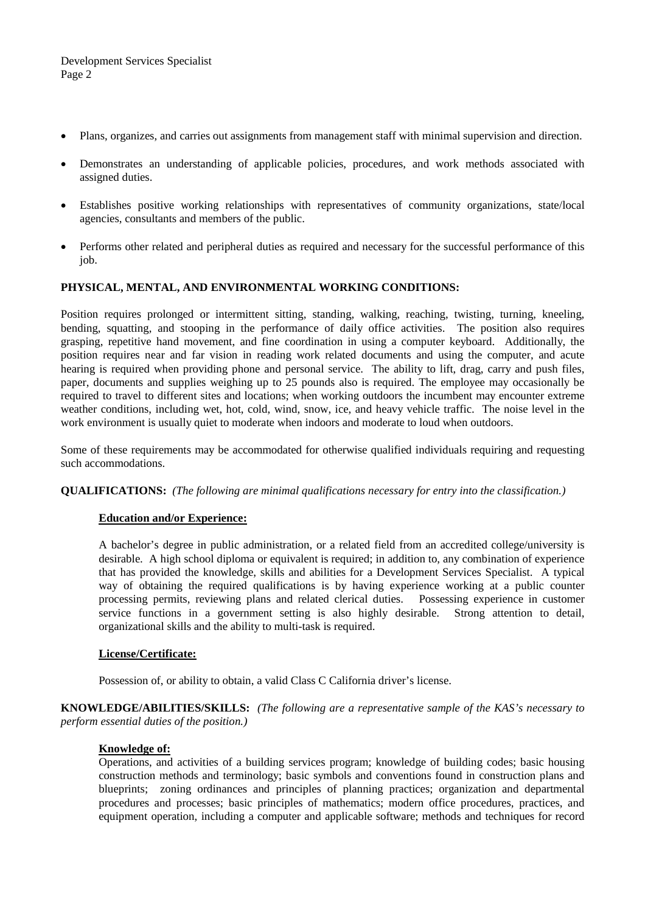- Plans, organizes, and carries out assignments from management staff with minimal supervision and direction.
- Demonstrates an understanding of applicable policies, procedures, and work methods associated with assigned duties.
- Establishes positive working relationships with representatives of community organizations, state/local agencies, consultants and members of the public.
- Performs other related and peripheral duties as required and necessary for the successful performance of this job.

## **PHYSICAL, MENTAL, AND ENVIRONMENTAL WORKING CONDITIONS:**

Position requires prolonged or intermittent sitting, standing, walking, reaching, twisting, turning, kneeling, bending, squatting, and stooping in the performance of daily office activities. The position also requires grasping, repetitive hand movement, and fine coordination in using a computer keyboard. Additionally, the position requires near and far vision in reading work related documents and using the computer, and acute hearing is required when providing phone and personal service. The ability to lift, drag, carry and push files, paper, documents and supplies weighing up to 25 pounds also is required. The employee may occasionally be required to travel to different sites and locations; when working outdoors the incumbent may encounter extreme weather conditions, including wet, hot, cold, wind, snow, ice, and heavy vehicle traffic. The noise level in the work environment is usually quiet to moderate when indoors and moderate to loud when outdoors.

Some of these requirements may be accommodated for otherwise qualified individuals requiring and requesting such accommodations.

**QUALIFICATIONS:** *(The following are minimal qualifications necessary for entry into the classification.)*

### **Education and/or Experience:**

A bachelor's degree in public administration, or a related field from an accredited college/university is desirable. A high school diploma or equivalent is required; in addition to, any combination of experience that has provided the knowledge, skills and abilities for a Development Services Specialist. A typical way of obtaining the required qualifications is by having experience working at a public counter processing permits, reviewing plans and related clerical duties. Possessing experience in customer service functions in a government setting is also highly desirable. Strong attention to detail, organizational skills and the ability to multi-task is required.

### **License/Certificate:**

Possession of, or ability to obtain, a valid Class C California driver's license.

**KNOWLEDGE/ABILITIES/SKILLS:** *(The following are a representative sample of the KAS's necessary to perform essential duties of the position.)*

### **Knowledge of:**

Operations, and activities of a building services program; knowledge of building codes; basic housing construction methods and terminology; basic symbols and conventions found in construction plans and blueprints; zoning ordinances and principles of planning practices; organization and departmental procedures and processes; basic principles of mathematics; modern office procedures, practices, and equipment operation, including a computer and applicable software; methods and techniques for record